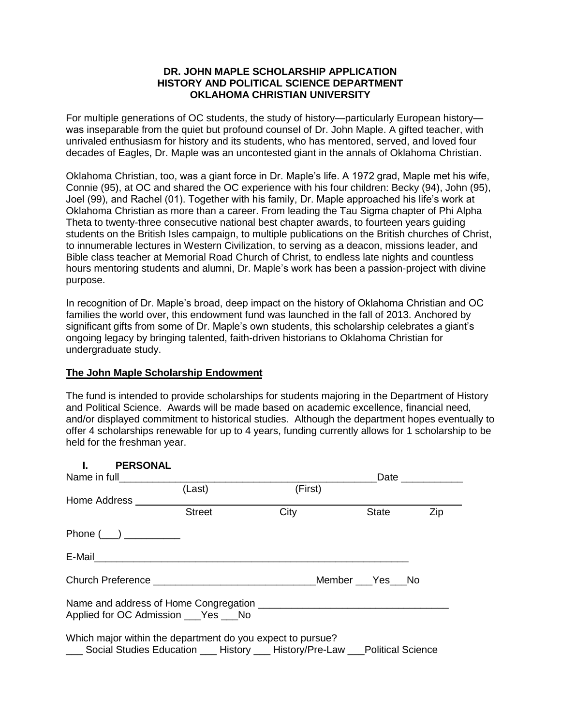## **DR. JOHN MAPLE SCHOLARSHIP APPLICATION HISTORY AND POLITICAL SCIENCE DEPARTMENT OKLAHOMA CHRISTIAN UNIVERSITY**

For multiple generations of OC students, the study of history—particularly European history was inseparable from the quiet but profound counsel of Dr. John Maple. A gifted teacher, with unrivaled enthusiasm for history and its students, who has mentored, served, and loved four decades of Eagles, Dr. Maple was an uncontested giant in the annals of Oklahoma Christian.

Oklahoma Christian, too, was a giant force in Dr. Maple's life. A 1972 grad, Maple met his wife, Connie (95), at OC and shared the OC experience with his four children: Becky (94), John (95), Joel (99), and Rachel (01). Together with his family, Dr. Maple approached his life's work at Oklahoma Christian as more than a career. From leading the Tau Sigma chapter of Phi Alpha Theta to twenty-three consecutive national best chapter awards, to fourteen years guiding students on the British Isles campaign, to multiple publications on the British churches of Christ, to innumerable lectures in Western Civilization, to serving as a deacon, missions leader, and Bible class teacher at Memorial Road Church of Christ, to endless late nights and countless hours mentoring students and alumni, Dr. Maple's work has been a passion-project with divine purpose.

In recognition of Dr. Maple's broad, deep impact on the history of Oklahoma Christian and OC families the world over, this endowment fund was launched in the fall of 2013. Anchored by significant gifts from some of Dr. Maple's own students, this scholarship celebrates a giant's ongoing legacy by bringing talented, faith-driven historians to Oklahoma Christian for undergraduate study.

## **The John Maple Scholarship Endowment**

The fund is intended to provide scholarships for students majoring in the Department of History and Political Science. Awards will be made based on academic excellence, financial need, and/or displayed commitment to historical studies. Although the department hopes eventually to offer 4 scholarships renewable for up to 4 years, funding currently allows for 1 scholarship to be held for the freshman year.

| <b>PERSONAL</b>                                                                                                                                 |               |         |                  |     |
|-------------------------------------------------------------------------------------------------------------------------------------------------|---------------|---------|------------------|-----|
|                                                                                                                                                 |               |         | Date ___________ |     |
|                                                                                                                                                 | (Last)        | (First) |                  |     |
| Home Address                                                                                                                                    |               |         |                  |     |
|                                                                                                                                                 | <b>Street</b> | City    | State            | Zip |
| Phone $(\_\_\_)$                                                                                                                                |               |         |                  |     |
|                                                                                                                                                 |               |         |                  |     |
|                                                                                                                                                 |               |         |                  |     |
| Applied for OC Admission ___ Yes ___ No                                                                                                         |               |         |                  |     |
| Which major within the department do you expect to pursue?<br>___ Social Studies Education ___ History ___ History/Pre-Law ___Political Science |               |         |                  |     |